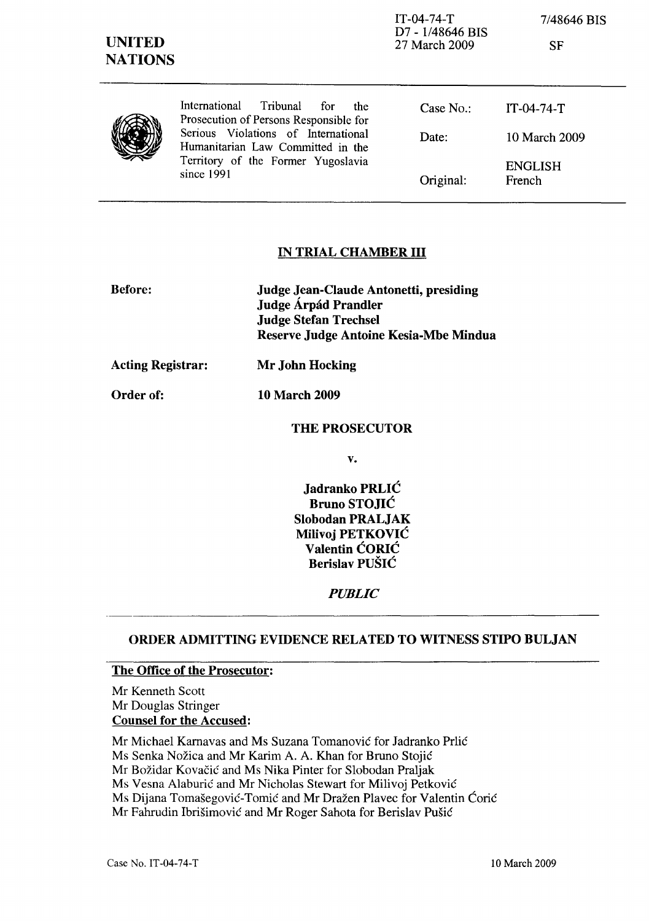| <b>UNITED</b><br><b>NATIONS</b> |                                                                                                                              | $IT-04-74-T$<br>D7 - 1/48646 BIS<br>27 March 2009 | 7/48646 BIS<br><b>SF</b> |
|---------------------------------|------------------------------------------------------------------------------------------------------------------------------|---------------------------------------------------|--------------------------|
|                                 | International<br>Tribunal<br>for<br>the<br>Prosecution of Persons Responsible for                                            | Case No.                                          | $IT-04-74-T$             |
|                                 | Serious Violations of International<br>Humanitarian Law Committed in the<br>Territory of the Former Yugoslavia<br>since 1991 | Date:                                             | 10 March 2009            |
|                                 |                                                                                                                              | Original:                                         | <b>ENGLISH</b><br>French |

## IN TRIAL CHAMBER III

| <b>Before:</b>           | Judge Jean-Claude Antonetti, presiding<br>Judge Árpád Prandler<br><b>Judge Stefan Trechsel</b><br>Reserve Judge Antoine Kesia-Mbe Mindua |  |
|--------------------------|------------------------------------------------------------------------------------------------------------------------------------------|--|
| <b>Acting Registrar:</b> | Mr John Hocking                                                                                                                          |  |

Order of: 10 March 2009

#### THE PROSECUTOR

v.

Jadranko PRLIC Bruno STOJIC Slobodan PRALJAK Milivoj PETKOVIC Valentin CORIC Berislav PUŠIĆ

## *PUBLIC*

## ORDER ADMITTING EVIDENCE RELATED TO WITNESS STIPO BULJAN

#### The Office of the Prosecutor:

Mr Kenneth Scott Mr Douglas Stringer Counsel for the Accused:

Mr Michael Karnavas and Ms Suzana Tomanović for Jadranko Prlić

Ms Senka Nožica and Mr Karim A. A. Khan for Bruno Stojić

Mr Božidar Kovačić and Ms Nika Pinter for Slobodan Praljak

Ms Vesna Alaburic and Mr Nicholas Stewart for Milivoj Petkovic

Ms Dijana Tomašegović-Tomić and Mr Dražen Plavec for Valentin Ćorić

Mr Fahrudin Ibrisimovic and Mr Roger Sahota for Berislav Pusic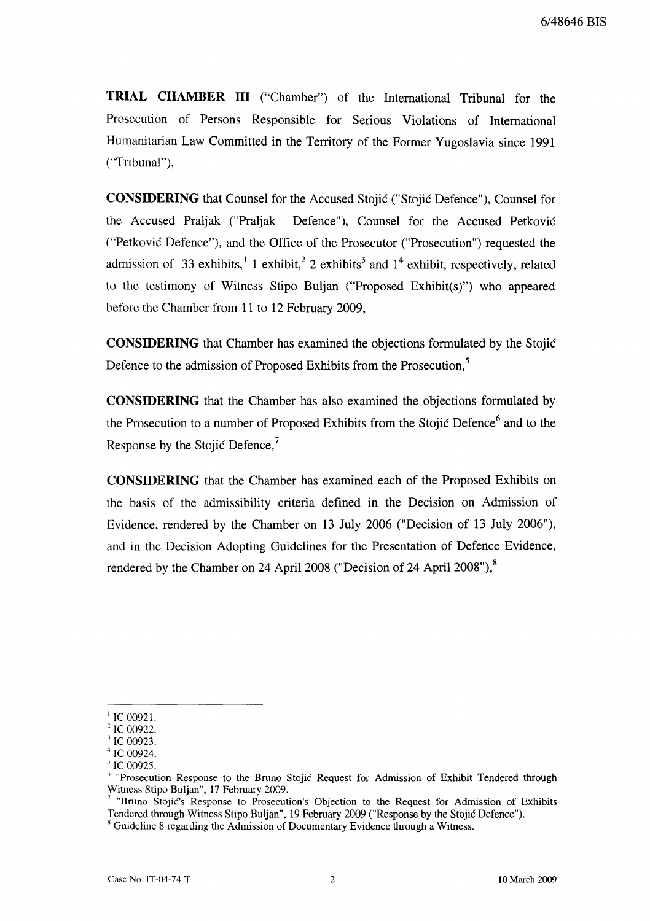**TRIAL CHAMBER III** ("Chamber") of the International Tribunal for the Prosecution of Persons Responsible for Serious Violations of International Humanitarian Law Committed in the Territory of the Former Yugoslavia since 1991 (''Tribunal''),

**CONSIDERING** that Counsel for the Accused Stojic ("Stojic Defence"), Counsel for the Accused Praljak ("Praljak Defence"), Counsel for the Accused Petkovic ("Petkovic Defence"), and the Office of the Prosecutor ("Prosecution") requested the admission of 33 exhibits,  $1 \times 1$  exhibit,  $2 \times 2 \times 10^{14}$  exhibit, respectively, related to the testimony of Witness Stipo Buljan ("Proposed Exhibit(s)") who appeared before the Chamber from 11 to 12 February 2009,

**CONSIDERING** that Chamber has examined the objections formulated by the Stojic Defence to the admission of Proposed Exhibits from the Prosecution.<sup>5</sup>

**CONSIDERING** that the Chamber has also examined the objections formulated by the Prosecution to a number of Proposed Exhibits from the Stojić Defence<sup>6</sup> and to the Response by the Stojic Defence,<sup>7</sup>

**CONSIDERING** that the Chamber has examined each of the Proposed Exhibits on the basis of the admissibility criteria defined in the Decision on Admission of Evidence, rendered by the Chamber on 13 July 2006 ("Decision of 13 July 2006"), and in the Decision Adopting Guidelines for the Presentation of Defence Evidence, rendered by the Chamber on 24 April 2008 ("Decision of 24 April 2008"),<sup>8</sup>

IC 00921.

IC 00922.

IC 00923.

IC 00924.

IC 00925.

 $\beta$  "Prosecution Response to the Bruno Stojic Request for Admission of Exhibit Tendered through Witness Stipo Buljan", 17 February 2009.

<sup>7</sup>"Bruno Stojic's Response to Prosecution's Objection to the Request for Admission of Exhibits Tendered through Witness Stipo Buljan", 19 February 2009 ("Response by the Stojic Defence"). <sup>8</sup> Guideline 8 regarding the Admission of Documentary Evidence through a Witness.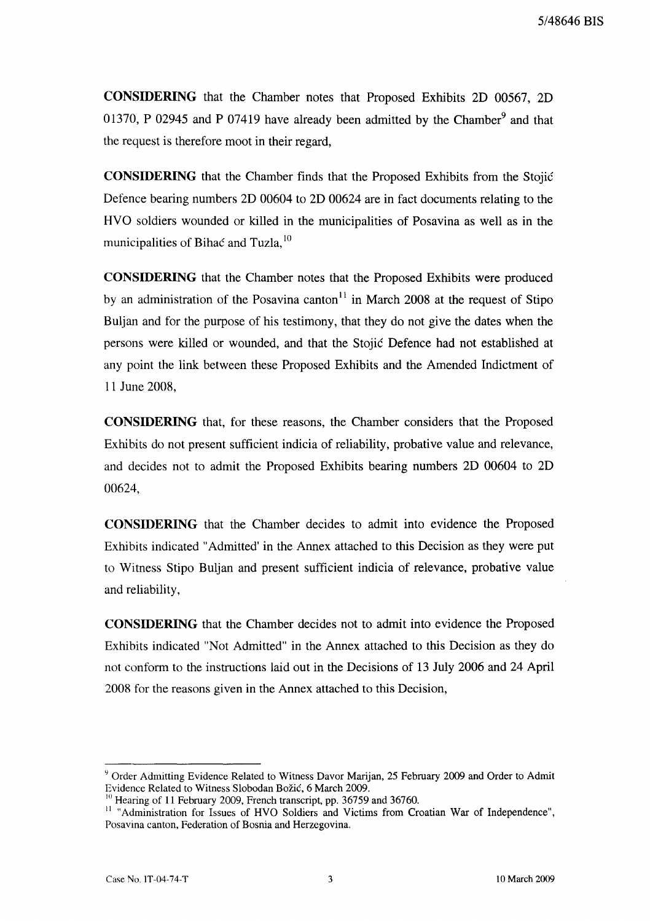**CONSIDERING** that the Chamber notes that Proposed Exhibits 2D 00567, 2D 01370, P 02945 and P 07419 have already been admitted by the Chamber<sup>9</sup> and that the request is therefore moot in their regard,

**CONSIDERING** that the Chamber finds that the Proposed Exhibits from the Stojic Defence bearing numbers 2D 00604 to 2D 00624 are in fact documents relating to the HVO soldiers wounded or killed in the municipalities of Posavina as well as in the municipalities of Bihac and Tuzla,<sup>10</sup>

**CONSIDERING** that the Chamber notes that the Proposed Exhibits were produced by an administration of the Posavina canton<sup>11</sup> in March 2008 at the request of Stipo Buljan and for the purpose of his testimony, that they do not give the dates when the persons were killed or wounded, and that the Stojic Defence had not established at any point the link between these Proposed Exhibits and the Amended Indictment of 11 June 2008,

**CONSIDERING** that, for these reasons, the Chamber considers that the Proposed Exhibits do not present sufficient indicia of reliability, probative value and relevance, and decides not to admit the Proposed Exhibits bearing numbers 2D 00604 to 2D 00624,

**CONSIDERING** that the Chamber decides to admit into evidence the Proposed Exhibits indicated "Admitted' in the Annex attached to this Decision as they were put to Witness Stipo Buljan and present sufficient indicia of relevance, probative value and reliability,

**CONSIDERING** that the Chamber decides not to admit into evidence the Proposed Exhibits indicated "Not Admitted" in the Annex attached to this Decision as they do not conform to the instructions laid out in the Decisions of 13 July 2006 and 24 April 2008 for the reasons given in the Annex attached to this Decision,

Y Order Admitting Evidence Related to Witness Davor Marijan, 25 February 2009 and Order to Admit Evidence Related to Witness Slobodan Bozic, 6 March 2009.

 $10$  Hearing of 11 February 2009, French transcript, pp. 36759 and 36760.

<sup>&</sup>lt;sup>11</sup> "Administration for Issues of HVO Soldiers and Victims from Croatian War of Independence", Posavina canton, Federation of Bosnia and Herzegovina.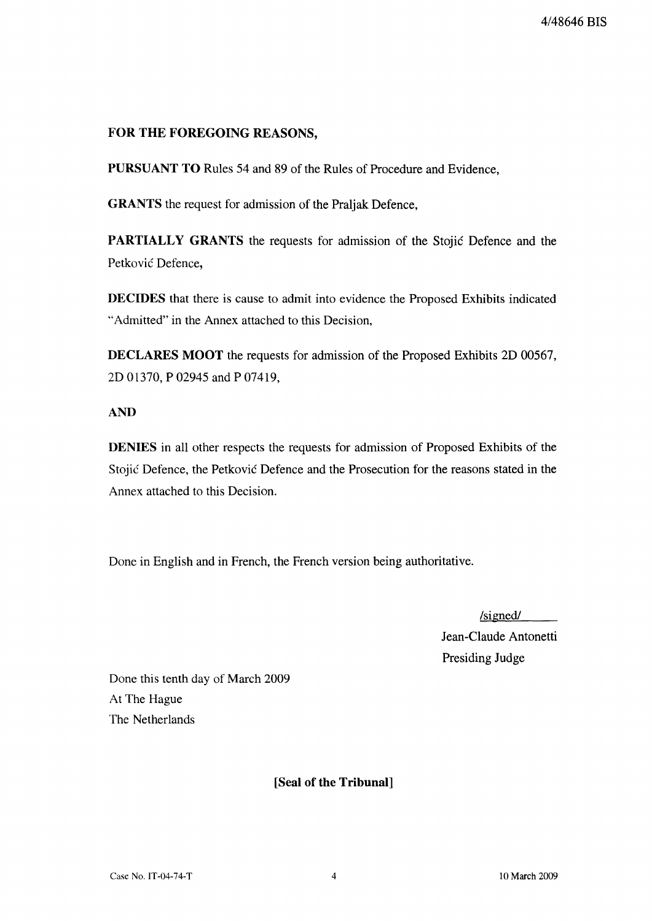# **FOR THE FOREGOING REASONS,**

**PURSUANT TO** Rules 54 and 89 of the Rules of Procedure and Evidence,

**GRANTS** the request for admission of the Praljak Defence,

**PARTIALLY GRANTS** the requests for admission of the Stojic Defence and the Petković Defence,

**DECIDES** that there is cause to admit into evidence the Proposed Exhibits indicated "Admitted" in the Annex attached to this Decision,

**DECLARES MOOT** the requests for admission of the Proposed Exhibits 2D 00567, 2D 01370, P 02945 and P 07419,

# **AND**

**DENIES** in all other respects the requests for admission of Proposed Exhibits of the Stojic Defence, the Petkovic Defence and the Prosecution for the reasons stated in the Annex attached to this Decision.

Done in English and in French, the French version being authoritative.

 $/signed /$ 

Jean-Claude Antonetti Presiding Judge

Done this tenth day of March 2009 At The Hague The Netherlands

# **[Seal of the Tribunal]**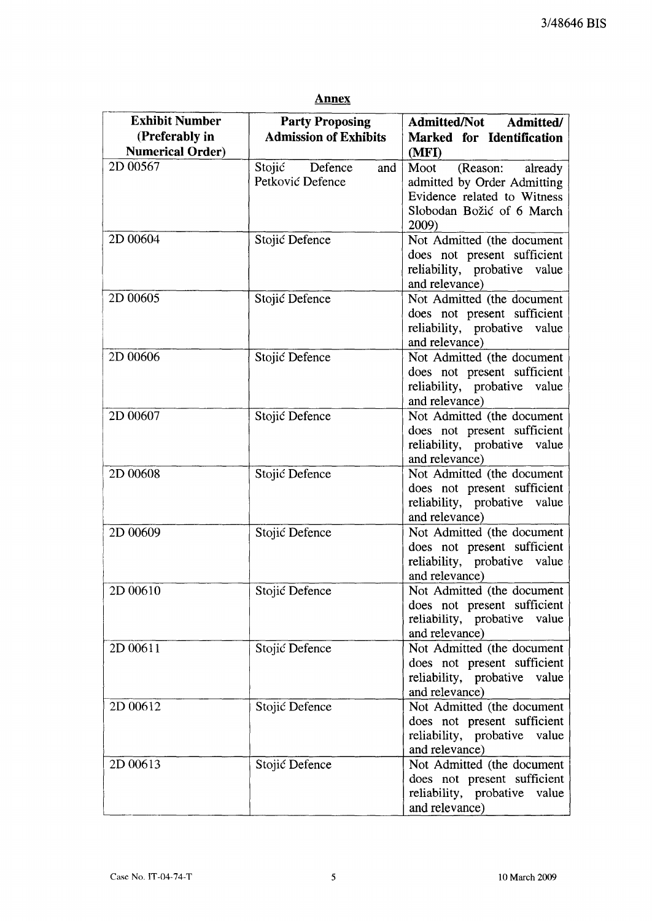## **Annex**

| <b>Exhibit Number</b>   | <b>Party Proposing</b>       | Admitted/Not Admitted/          |  |
|-------------------------|------------------------------|---------------------------------|--|
| (Preferably in          | <b>Admission of Exhibits</b> | Marked for Identification       |  |
| <b>Numerical Order)</b> |                              | (MFI)                           |  |
| 2D 00567                | Stojić<br>Defence<br>and     | Moot<br>(Reason:<br>already     |  |
|                         | Petković Defence             | admitted by Order Admitting     |  |
|                         |                              | Evidence related to Witness     |  |
|                         |                              | Slobodan Božić of 6 March       |  |
|                         |                              | 2009)                           |  |
| 2D 00604                | Stojić Defence               | Not Admitted (the document      |  |
|                         |                              | does not present sufficient     |  |
|                         |                              | reliability, probative value    |  |
|                         |                              | and relevance)                  |  |
| 2D 00605                | Stojić Defence               | Not Admitted (the document      |  |
|                         |                              | does not present sufficient     |  |
|                         |                              | reliability, probative value    |  |
|                         |                              | and relevance)                  |  |
| 2D 00606                | Stojić Defence               | Not Admitted (the document      |  |
|                         |                              | does not present sufficient     |  |
|                         |                              | reliability, probative value    |  |
|                         |                              | and relevance)                  |  |
| 2D 00607                | Stojić Defence               | Not Admitted (the document      |  |
|                         |                              | does not present sufficient     |  |
|                         |                              | reliability, probative value    |  |
|                         |                              | and relevance)                  |  |
| 2D 00608                | Stojić Defence               | Not Admitted (the document      |  |
|                         |                              | does not present sufficient     |  |
|                         |                              | reliability, probative value    |  |
|                         |                              | and relevance)                  |  |
| 2D 00609                | Stojić Defence               | Not Admitted (the document      |  |
|                         |                              | does not present sufficient     |  |
|                         |                              | reliability, probative value    |  |
|                         |                              | and relevance)                  |  |
| 2D 00610                | Stojić Defence               | Not Admitted (the document)     |  |
|                         |                              | does not present sufficient     |  |
|                         |                              | reliability, probative<br>value |  |
|                         |                              | and relevance)                  |  |
| 2D 00611                | Stojić Defence               | Not Admitted (the document      |  |
|                         |                              | does not present sufficient     |  |
|                         |                              | reliability, probative value    |  |
|                         |                              | and relevance)                  |  |
| 2D 00612                | Stojić Defence               | Not Admitted (the document      |  |
|                         |                              | does not present sufficient     |  |
|                         |                              | reliability, probative<br>value |  |
|                         |                              | and relevance)                  |  |
| 2D 00613                | Stojić Defence               | Not Admitted (the document      |  |
|                         |                              | does not present sufficient     |  |
|                         |                              | reliability, probative<br>value |  |
|                         |                              | and relevance)                  |  |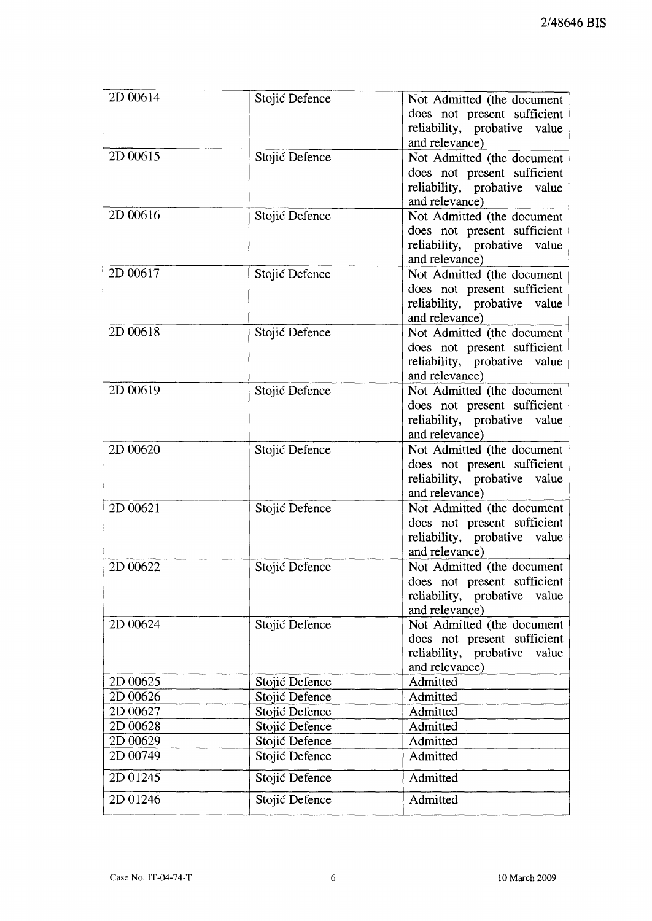| 2D 00614    | Stojić Defence | Not Admitted (the document<br>does not present sufficient<br>reliability, probative value<br>and relevance)    |
|-------------|----------------|----------------------------------------------------------------------------------------------------------------|
| 2D 00615    | Stojić Defence | Not Admitted (the document<br>does not present sufficient<br>reliability, probative value<br>and relevance)    |
| $2D\ 00616$ | Stojić Defence | Not Admitted (the document<br>does not present sufficient<br>reliability, probative value<br>and relevance)    |
| 2D 00617    | Stojić Defence | Not Admitted (the document<br>does not present sufficient<br>reliability, probative value<br>and relevance)    |
| 2D 00618    | Stojić Defence | Not Admitted (the document<br>does not present sufficient<br>reliability, probative value<br>and relevance)    |
| 2D 00619    | Stojić Defence | Not Admitted (the document<br>does not present sufficient<br>reliability, probative value<br>and relevance)    |
| 2D 00620    | Stojić Defence | Not Admitted (the document<br>does not present sufficient<br>reliability, probative value<br>and relevance)    |
| 2D 00621    | Stojić Defence | Not Admitted (the document<br>does not present sufficient<br>reliability, probative value<br>and relevance)    |
| 2D 00622    | Stojić Defence | Not Admitted (the document<br>does not present sufficient<br>reliability, probative<br>value<br>and relevance) |
| 2D 00624    | Stojić Defence | Not Admitted (the document<br>does not present sufficient<br>reliability, probative<br>value<br>and relevance) |
| 2D 00625    | Stojić Defence | Admitted                                                                                                       |
| 2D 00626    | Stojić Defence | Admitted                                                                                                       |
| 2D 00627    | Stojić Defence | Admitted                                                                                                       |
| 2D 00628    | Stojić Defence | Admitted                                                                                                       |
| 2D 00629    | Stojić Defence | Admitted                                                                                                       |
| 2D 00749    | Stojić Defence | Admitted                                                                                                       |
| 2D 01245    | Stojić Defence | Admitted                                                                                                       |
| 2D 01246    | Stojić Defence | Admitted                                                                                                       |